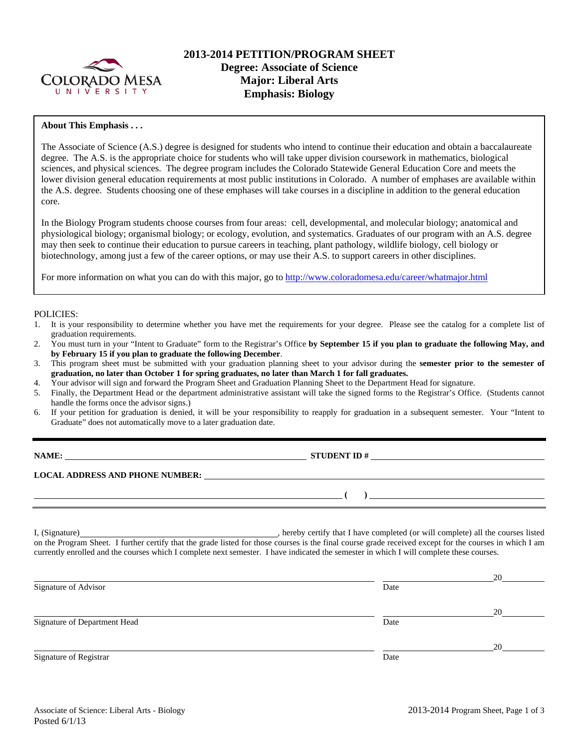

# **2013-2014 PETITION/PROGRAM SHEET Degree: Associate of Science Major: Liberal Arts Emphasis: Biology**

### **About This Emphasis . . .**

The Associate of Science (A.S.) degree is designed for students who intend to continue their education and obtain a baccalaureate degree. The A.S. is the appropriate choice for students who will take upper division coursework in mathematics, biological sciences, and physical sciences. The degree program includes the Colorado Statewide General Education Core and meets the lower division general education requirements at most public institutions in Colorado. A number of emphases are available within the A.S. degree. Students choosing one of these emphases will take courses in a discipline in addition to the general education core.

In the Biology Program students choose courses from four areas: cell, developmental, and molecular biology; anatomical and physiological biology; organismal biology; or ecology, evolution, and systematics. Graduates of our program with an A.S. degree may then seek to continue their education to pursue careers in teaching, plant pathology, wildlife biology, cell biology or biotechnology, among just a few of the career options, or may use their A.S. to support careers in other disciplines.

For more information on what you can do with this major, go to http://www.coloradomesa.edu/career/whatmajor.html

#### POLICIES:

- 1. It is your responsibility to determine whether you have met the requirements for your degree. Please see the catalog for a complete list of graduation requirements.
- 2. You must turn in your "Intent to Graduate" form to the Registrar's Office **by September 15 if you plan to graduate the following May, and by February 15 if you plan to graduate the following December**.
- 3. This program sheet must be submitted with your graduation planning sheet to your advisor during the **semester prior to the semester of graduation, no later than October 1 for spring graduates, no later than March 1 for fall graduates.**
- 4. Your advisor will sign and forward the Program Sheet and Graduation Planning Sheet to the Department Head for signature.
- 5. Finally, the Department Head or the department administrative assistant will take the signed forms to the Registrar's Office. (Students cannot handle the forms once the advisor signs.)
- 6. If your petition for graduation is denied, it will be your responsibility to reapply for graduation in a subsequent semester. Your "Intent to Graduate" does not automatically move to a later graduation date.

| NAME:                                  | <b>STUDENT ID#</b> |
|----------------------------------------|--------------------|
| <b>LOCAL ADDRESS AND PHONE NUMBER:</b> |                    |
|                                        |                    |

I, (Signature) , hereby certify that I have completed (or will complete) all the courses listed on the Program Sheet. I further certify that the grade listed for those courses is the final course grade received except for the courses in which I am currently enrolled and the courses which I complete next semester. I have indicated the semester in which I will complete these courses.

|                              |      | 20 |
|------------------------------|------|----|
| Signature of Advisor         | Date |    |
|                              |      | 20 |
| Signature of Department Head | Date |    |
|                              |      | 20 |
| Signature of Registrar       | Date |    |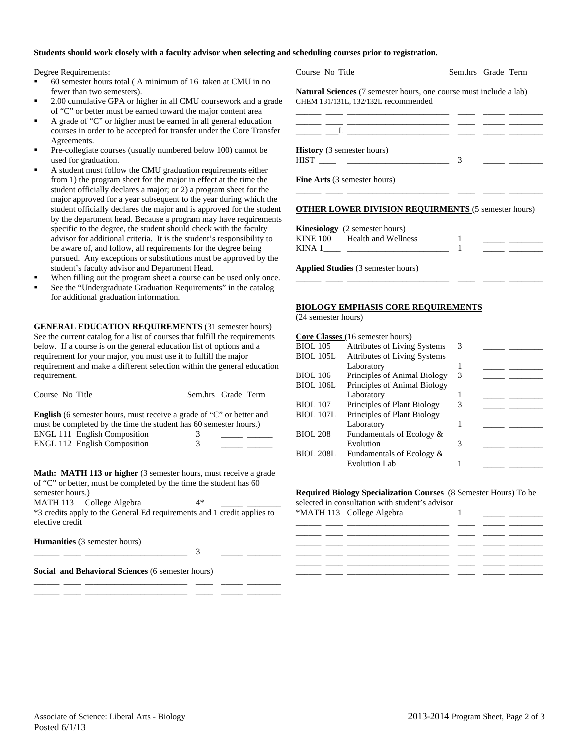### **Students should work closely with a faculty advisor when selecting and scheduling courses prior to registration.**

Degree Requirements:

- 60 semester hours total ( A minimum of 16 taken at CMU in no fewer than two semesters).
- 2.00 cumulative GPA or higher in all CMU coursework and a grade of "C" or better must be earned toward the major content area
- A grade of "C" or higher must be earned in all general education courses in order to be accepted for transfer under the Core Transfer Agreements.
- Pre-collegiate courses (usually numbered below 100) cannot be used for graduation.
- A student must follow the CMU graduation requirements either from 1) the program sheet for the major in effect at the time the student officially declares a major; or 2) a program sheet for the major approved for a year subsequent to the year during which the student officially declares the major and is approved for the student by the department head. Because a program may have requirements specific to the degree, the student should check with the faculty advisor for additional criteria. It is the student's responsibility to be aware of, and follow, all requirements for the degree being pursued. Any exceptions or substitutions must be approved by the student's faculty advisor and Department Head.
- When filling out the program sheet a course can be used only once.
- See the "Undergraduate Graduation Requirements" in the catalog for additional graduation information.

**GENERAL EDUCATION REQUIREMENTS** (31 semester hours) See the current catalog for a list of courses that fulfill the requirements below. If a course is on the general education list of options and a requirement for your major, you must use it to fulfill the major requirement and make a different selection within the general education requirement.

| Course No Title | Sem.hrs Grade Term |
|-----------------|--------------------|

**English** (6 semester hours, must receive a grade of "C" or better and must be completed by the time the student has 60 semester hours.) ENGL 111 English Composition 3 ENGL 112 English Composition 3

**Math: MATH 113 or higher** (3 semester hours, must receive a grade of "C" or better, must be completed by the time the student has 60 semester hours.)

MATH 113 College Algebra 4\* \*3 credits apply to the General Ed requirements and 1 credit applies to elective credit

\_\_\_\_\_\_ \_\_\_\_ \_\_\_\_\_\_\_\_\_\_\_\_\_\_\_\_\_\_\_\_\_\_\_\_ 3 \_\_\_\_\_ \_\_\_\_\_\_\_\_

\_\_\_\_\_\_ \_\_\_\_ \_\_\_\_\_\_\_\_\_\_\_\_\_\_\_\_\_\_\_\_\_\_\_\_ \_\_\_\_ \_\_\_\_\_ \_\_\_\_\_\_\_\_ \_\_\_\_\_\_ \_\_\_\_ \_\_\_\_\_\_\_\_\_\_\_\_\_\_\_\_\_\_\_\_\_\_\_\_ \_\_\_\_ \_\_\_\_\_ \_\_\_\_\_\_\_\_

**Humanities** (3 semester hours)

**Social and Behavioral Sciences** (6 semester hours)

| Course No Title                                                                                                  | Sem.hrs Grade Term |  |
|------------------------------------------------------------------------------------------------------------------|--------------------|--|
| <b>Natural Sciences</b> (7 semester hours, one course must include a lab)<br>CHEM 131/131L, 132/132L recommended |                    |  |
|                                                                                                                  |                    |  |
| <b>History</b> (3 semester hours)                                                                                | 3                  |  |
| <b>Fine Arts</b> (3 semester hours)                                                                              |                    |  |
| <b>OTHER LOWER DIVISION REQUIRMENTS (5 semester hours)</b>                                                       |                    |  |
| <b>Kinesiology</b> (2 semester hours)                                                                            |                    |  |
| KINE 100 Health and Wellness                                                                                     |                    |  |
| KINA $1 \_$                                                                                                      |                    |  |

**Applied Studies** (3 semester hours)

#### **BIOLOGY EMPHASIS CORE REQUIREMENTS**

(24 semester hours)

| Core Classes (16 semester hours) |                                     |   |  |  |  |  |
|----------------------------------|-------------------------------------|---|--|--|--|--|
| <b>BIOL</b> 105                  | <b>Attributes of Living Systems</b> | 3 |  |  |  |  |
| <b>BIOL 105L</b>                 | <b>Attributes of Living Systems</b> |   |  |  |  |  |
|                                  | Laboratory                          |   |  |  |  |  |
| <b>BIOL 106</b>                  | Principles of Animal Biology        | 3 |  |  |  |  |
| <b>BIOL 106L</b>                 | Principles of Animal Biology        |   |  |  |  |  |
|                                  | Laboratory                          |   |  |  |  |  |
| <b>BIOL</b> 107                  | Principles of Plant Biology         | 3 |  |  |  |  |
| <b>BIOL 107L</b>                 | Principles of Plant Biology         |   |  |  |  |  |
|                                  | Laboratory                          |   |  |  |  |  |
| <b>BIOL 208</b>                  | Fundamentals of Ecology &           |   |  |  |  |  |
|                                  | Evolution                           | 3 |  |  |  |  |
| <b>BIOL 208L</b>                 | Fundamentals of Ecology &           |   |  |  |  |  |
|                                  | <b>Evolution Lab</b>                |   |  |  |  |  |
|                                  |                                     |   |  |  |  |  |

\_\_\_\_\_\_ \_\_\_\_ \_\_\_\_\_\_\_\_\_\_\_\_\_\_\_\_\_\_\_\_\_\_\_\_ \_\_\_\_ \_\_\_\_\_ \_\_\_\_\_\_\_\_

#### **Required Biology Specialization Courses** (8 Semester Hours) To be

selected in consultation with student's advisor \*MATH 113 College Algebra 1